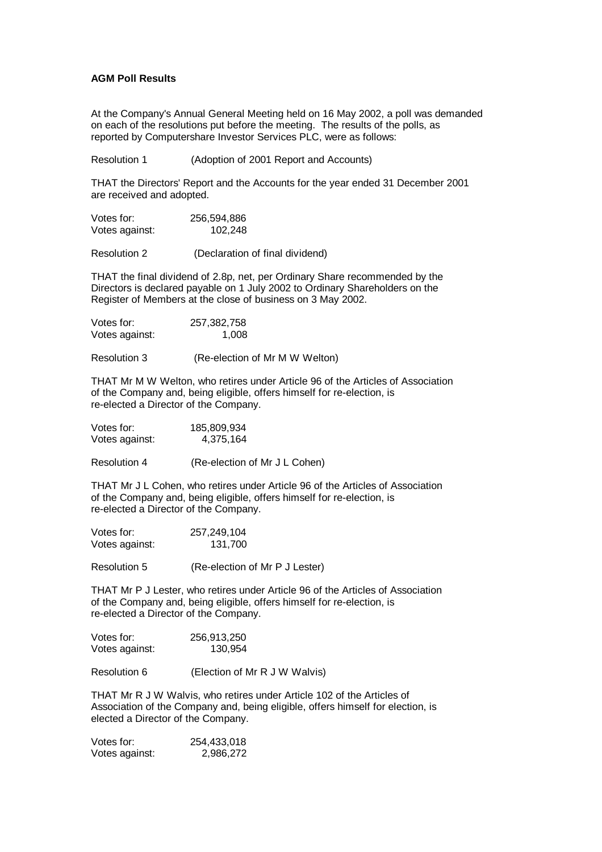## **AGM Poll Results**

At the Company's Annual General Meeting held on 16 May 2002, a poll was demanded on each of the resolutions put before the meeting. The results of the polls, as reported by Computershare Investor Services PLC, were as follows:

Resolution 1 (Adoption of 2001 Report and Accounts)

THAT the Directors' Report and the Accounts for the year ended 31 December 2001 are received and adopted.

| Votes for:     | 256,594,886 |
|----------------|-------------|
| Votes against: | 102,248     |

Resolution 2 (Declaration of final dividend)

THAT the final dividend of 2.8p, net, per Ordinary Share recommended by the Directors is declared payable on 1 July 2002 to Ordinary Shareholders on the Register of Members at the close of business on 3 May 2002.

| Votes for:     | 257,382,758 |
|----------------|-------------|
| Votes against: | 1,008       |

Resolution 3 (Re-election of Mr M W Welton)

THAT Mr M W Welton, who retires under Article 96 of the Articles of Association of the Company and, being eligible, offers himself for re-election, is re-elected a Director of the Company.

| Votes for:     | 185,809,934 |
|----------------|-------------|
| Votes against: | 4,375,164   |

Resolution 4 (Re-election of Mr J L Cohen)

THAT Mr J L Cohen, who retires under Article 96 of the Articles of Association of the Company and, being eligible, offers himself for re-election, is re-elected a Director of the Company.

| Votes for:     | 257,249,104 |
|----------------|-------------|
| Votes against: | 131,700     |

Resolution 5 (Re-election of Mr P J Lester)

THAT Mr P J Lester, who retires under Article 96 of the Articles of Association of the Company and, being eligible, offers himself for re-election, is re-elected a Director of the Company.

| Votes for:     | 256,913,250 |
|----------------|-------------|
| Votes against: | 130,954     |

Resolution 6 (Election of Mr R J W Walvis)

THAT Mr R J W Walvis, who retires under Article 102 of the Articles of Association of the Company and, being eligible, offers himself for election, is elected a Director of the Company.

| Votes for:     | 254,433,018 |
|----------------|-------------|
| Votes against: | 2,986,272   |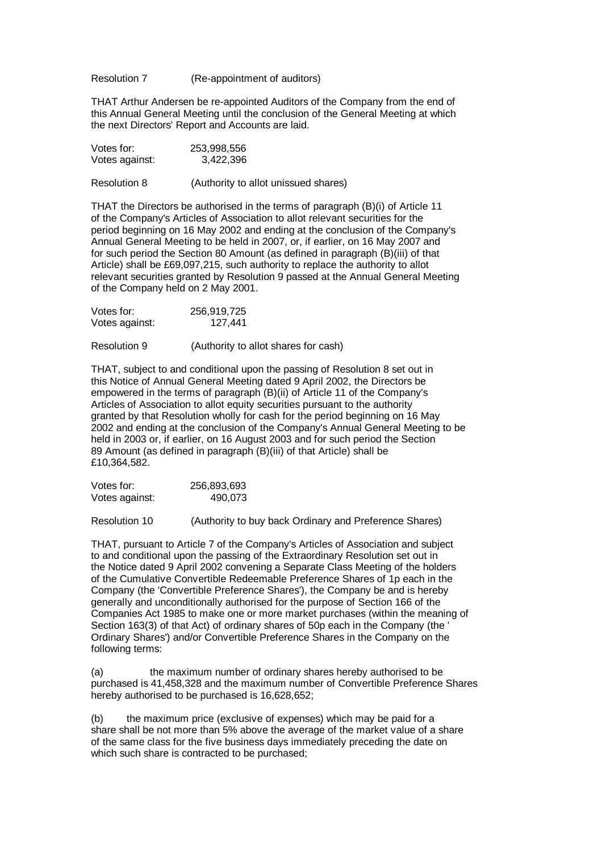Resolution 7 (Re-appointment of auditors)

THAT Arthur Andersen be re-appointed Auditors of the Company from the end of this Annual General Meeting until the conclusion of the General Meeting at which the next Directors' Report and Accounts are laid.

| Votes for:     | 253,998,556 |  |
|----------------|-------------|--|
| Votes against: | 3,422,396   |  |
|                |             |  |

Resolution 8 (Authority to allot unissued shares)

THAT the Directors be authorised in the terms of paragraph (B)(i) of Article 11 of the Company's Articles of Association to allot relevant securities for the period beginning on 16 May 2002 and ending at the conclusion of the Company's Annual General Meeting to be held in 2007, or, if earlier, on 16 May 2007 and for such period the Section 80 Amount (as defined in paragraph (B)(iii) of that Article) shall be £69,097,215, such authority to replace the authority to allot relevant securities granted by Resolution 9 passed at the Annual General Meeting of the Company held on 2 May 2001.

| Votes for:     | 256,919,725 |
|----------------|-------------|
| Votes against: | 127,441     |

Resolution 9 (Authority to allot shares for cash)

THAT, subject to and conditional upon the passing of Resolution 8 set out in this Notice of Annual General Meeting dated 9 April 2002, the Directors be empowered in the terms of paragraph (B)(ii) of Article 11 of the Company's Articles of Association to allot equity securities pursuant to the authority granted by that Resolution wholly for cash for the period beginning on 16 May 2002 and ending at the conclusion of the Company's Annual General Meeting to be held in 2003 or, if earlier, on 16 August 2003 and for such period the Section 89 Amount (as defined in paragraph (B)(iii) of that Article) shall be £10,364,582.

| Votes for:     | 256,893,693 |
|----------------|-------------|
| Votes against: | 490,073     |

Resolution 10 (Authority to buy back Ordinary and Preference Shares)

THAT, pursuant to Article 7 of the Company's Articles of Association and subject to and conditional upon the passing of the Extraordinary Resolution set out in the Notice dated 9 April 2002 convening a Separate Class Meeting of the holders of the Cumulative Convertible Redeemable Preference Shares of 1p each in the Company (the 'Convertible Preference Shares'), the Company be and is hereby generally and unconditionally authorised for the purpose of Section 166 of the Companies Act 1985 to make one or more market purchases (within the meaning of Section 163(3) of that Act) of ordinary shares of 50p each in the Company (the ' Ordinary Shares') and/or Convertible Preference Shares in the Company on the following terms:

(a) the maximum number of ordinary shares hereby authorised to be purchased is 41,458,328 and the maximum number of Convertible Preference Shares hereby authorised to be purchased is 16,628,652;

(b) the maximum price (exclusive of expenses) which may be paid for a share shall be not more than 5% above the average of the market value of a share of the same class for the five business days immediately preceding the date on which such share is contracted to be purchased;